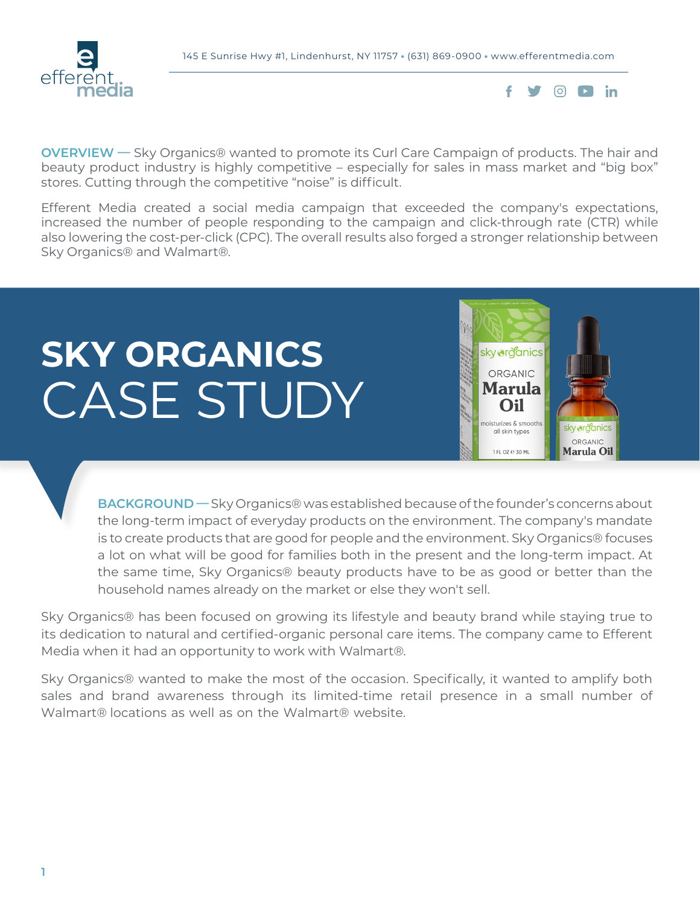



**OVERVIEW —** Sky Organics® wanted to promote its Curl Care Campaign of products. The hair and beauty product industry is highly competitive – especially for sales in mass market and "big box" stores. Cutting through the competitive "noise" is difficult.

Efferent Media created a social media campaign that exceeded the company's expectations, increased the number of people responding to the campaign and click-through rate (CTR) while also lowering the cost-per-click (CPC). The overall results also forged a stronger relationship between Sky Organics® and Walmart®.

# **SKY ORGANICS** CASE STUDY



**BACKGROUND —** Sky Organics® was established because of the founder's concerns about the long-term impact of everyday products on the environment. The company's mandate is to create products that are good for people and the environment. Sky Organics® focuses a lot on what will be good for families both in the present and the long-term impact. At the same time, Sky Organics® beauty products have to be as good or better than the household names already on the market or else they won't sell.

Sky Organics® has been focused on growing its lifestyle and beauty brand while staying true to its dedication to natural and certified-organic personal care items. The company came to Efferent Media when it had an opportunity to work with Walmart®.

Sky Organics® wanted to make the most of the occasion. Specifically, it wanted to amplify both sales and brand awareness through its limited-time retail presence in a small number of Walmart® locations as well as on the Walmart® website.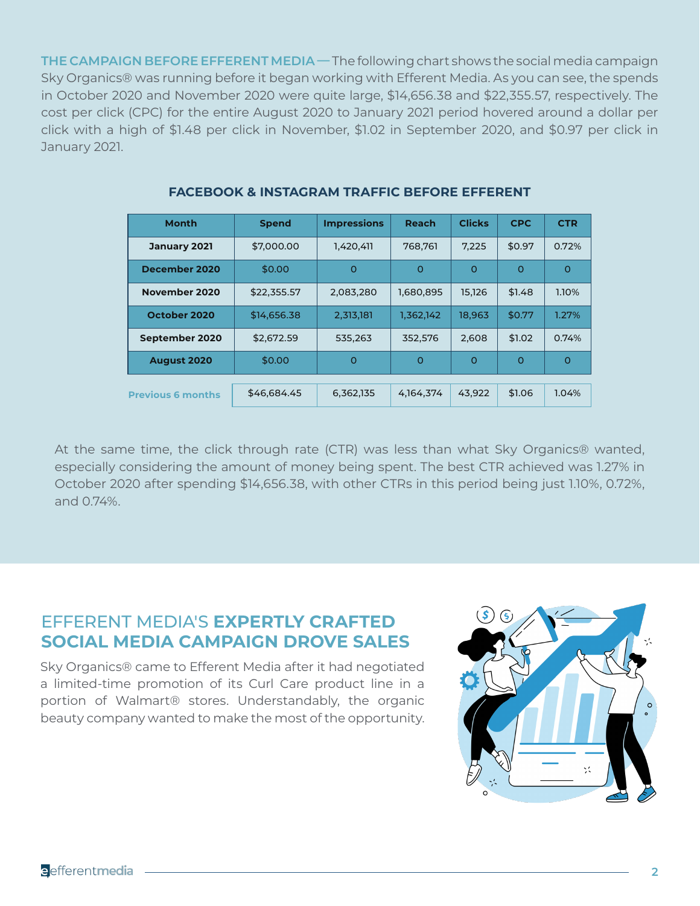**THE CAMPAIGN BEFORE EFFERENT MEDIA —** The following chart shows the social media campaign Sky Organics® was running before it began working with Efferent Media. As you can see, the spends in October 2020 and November 2020 were quite large, \$14,656.38 and \$22,355.57, respectively. The cost per click (CPC) for the entire August 2020 to January 2021 period hovered around a dollar per click with a high of \$1.48 per click in November, \$1.02 in September 2020, and \$0.97 per click in January 2021.

| <b>Month</b>             | <b>Spend</b> | <b>Impressions</b> | Reach       | <b>Clicks</b> | <b>CPC</b> | <b>CTR</b> |
|--------------------------|--------------|--------------------|-------------|---------------|------------|------------|
| January 2021             | \$7,000.00   | 1,420,411          | 768.761     | 7.225         | \$0.97     | 0.72%      |
| December 2020            | \$0.00       | $\Omega$           | $\circ$     | $\circ$       | $\circ$    | $\circ$    |
| November 2020            | \$22,355.57  | 2,083,280          | 1,680,895   | 15,126        | \$1.48     | 1.10%      |
| October 2020             | \$14,656.38  | 2,313,181          | 1,362,142   | 18,963        | \$0.77     | 1.27%      |
| September 2020           | \$2,672.59   | 535.263            | 352.576     | 2.608         | \$1.02     | 0.74%      |
| <b>August 2020</b>       | \$0.00       | $\Omega$           | $\circ$     | $\Omega$      | $\circ$    | $\Omega$   |
|                          |              |                    |             |               |            |            |
| <b>Previous 6 months</b> | \$46,684.45  | 6,362,135          | 4, 164, 374 | 43.922        | \$1.06     | 1.04%      |

### **FACEBOOK & INSTAGRAM TRAFFIC BEFORE EFFERENT**

At the same time, the click through rate (CTR) was less than what Sky Organics® wanted, especially considering the amount of money being spent. The best CTR achieved was 1.27% in October 2020 after spending \$14,656.38, with other CTRs in this period being just 1.10%, 0.72%, and 0.74%.

## EFFERENT MEDIA'S **EXPERTLY CRAFTED SOCIAL MEDIA CAMPAIGN DROVE SALES**

Sky Organics® came to Efferent Media after it had negotiated a limited-time promotion of its Curl Care product line in a portion of Walmart® stores. Understandably, the organic beauty company wanted to make the most of the opportunity.

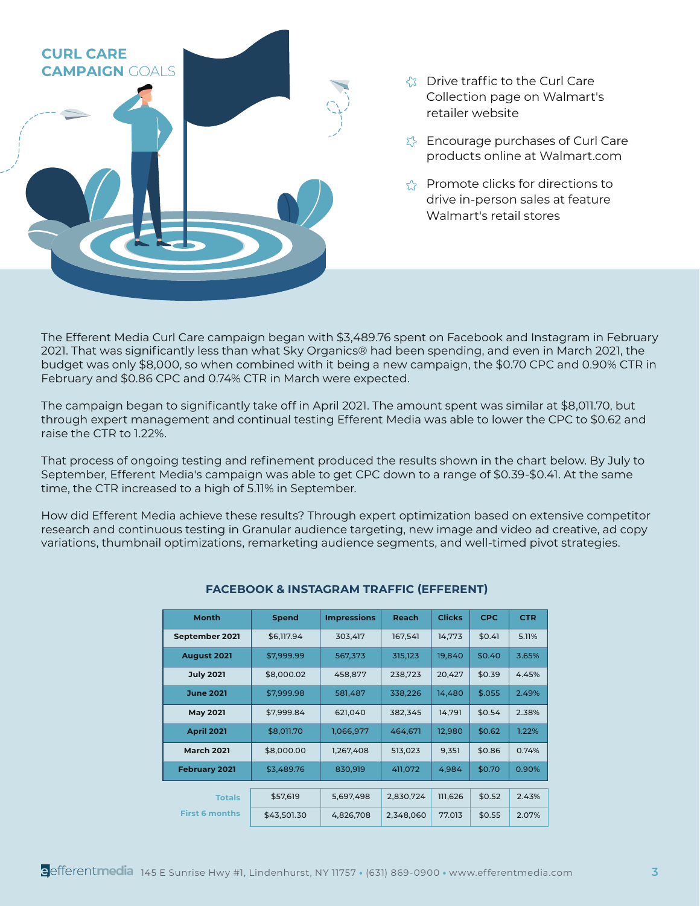

- Collection page on Walmart's retailer website
- $\Sigma$  Encourage purchases of Curl Care products online at Walmart.com
- $\gamma$  Promote clicks for directions to drive in-person sales at feature Walmart's retail stores

The Efferent Media Curl Care campaign began with \$3,489.76 spent on Facebook and Instagram in February 2021. That was significantly less than what Sky Organics® had been spending, and even in March 2021, the budget was only \$8,000, so when combined with it being a new campaign, the \$0.70 CPC and 0.90% CTR in February and \$0.86 CPC and 0.74% CTR in March were expected.

The campaign began to significantly take off in April 2021. The amount spent was similar at \$8,011.70, but through expert management and continual testing Efferent Media was able to lower the CPC to \$0.62 and raise the CTR to 1.22%.

That process of ongoing testing and refinement produced the results shown in the chart below. By July to September, Efferent Media's campaign was able to get CPC down to a range of \$0.39-\$0.41. At the same time, the CTR increased to a high of 5.11% in September.

How did Efferent Media achieve these results? Through expert optimization based on extensive competitor research and continuous testing in Granular audience targeting, new image and video ad creative, ad copy variations, thumbnail optimizations, remarketing audience segments, and well-timed pivot strategies.

| <b>Month</b>          | <b>Spend</b> | <b>Impressions</b> | <b>Reach</b> | <b>Clicks</b> | <b>CPC</b> | <b>CTR</b> |
|-----------------------|--------------|--------------------|--------------|---------------|------------|------------|
| September 2021        | \$6.117.94   | 303,417            | 167,541      | 14,773        | \$0.41     | 5.11%      |
| <b>August 2021</b>    | \$7,999.99   | 567,373            | 315,123      | 19,840        | \$0.40     | 3.65%      |
| <b>July 2021</b>      | \$8,000.02   | 458,877            | 238,723      | 20,427        | \$0.39     | 4.45%      |
| <b>June 2021</b>      | \$7,999.98   | 581,487            | 338,226      | 14,480        | \$.055     | 2.49%      |
| <b>May 2021</b>       | \$7,999.84   | 621,040            | 382,345      | 14,791        | \$0.54     | 2.38%      |
| <b>April 2021</b>     | \$8,011.70   | 1,066,977          | 464,671      | 12,980        | \$0.62     | 1.22%      |
| <b>March 2021</b>     | \$8,000.00   | 1,267,408          | 513,023      | 9,351         | \$0.86     | 0.74%      |
| <b>February 2021</b>  | \$3,489.76   | 830,919            | 411,072      | 4,984         | \$0.70     | 0.90%      |
|                       |              |                    |              |               |            |            |
| <b>Totals</b>         | \$57,619     | 5,697,498          | 2,830,724    | 111,626       | \$0.52     | 2.43%      |
| <b>First 6 months</b> | \$43,501.30  | 4,826,708          | 2,348,060    | 77.013        | \$0.55     | 2.07%      |

#### **FACEBOOK & INSTAGRAM TRAFFIC (EFFERENT)**